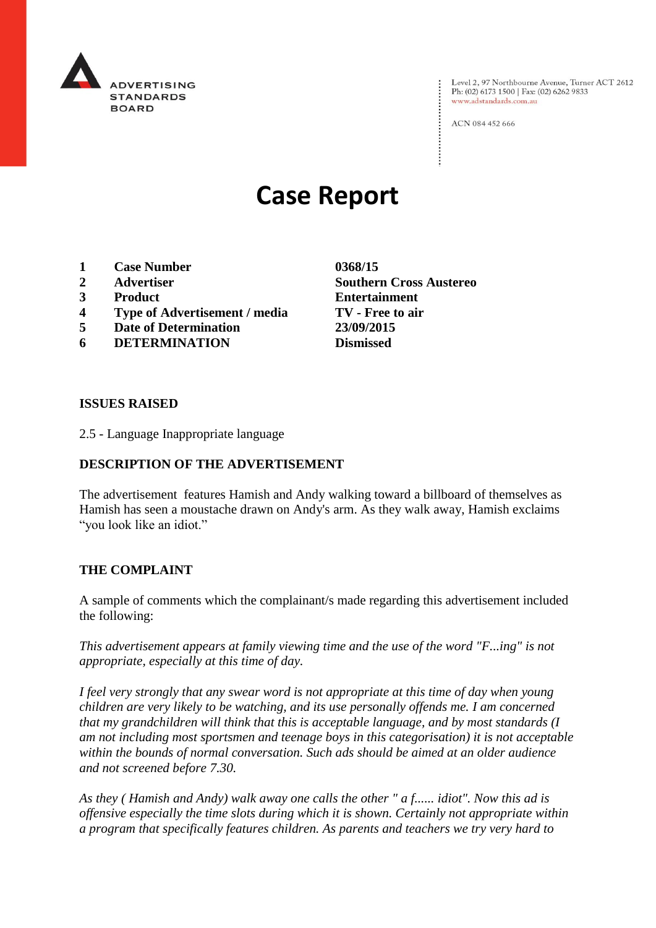

Level 2, 97 Northbourne Avenue, Turner ACT 2612 Ph: (02) 6173 1500 | Fax: (02) 6262 9833 www.adstandards.com.au

ACN 084 452 666

# **Case Report**

- **1 Case Number 0368/15**
- 
- 
- **4 Type of Advertisement / media TV - Free to air**
- **5 Date of Determination 23/09/2015**
- **6 DETERMINATION Dismissed**

**2 Advertiser Southern Cross Austereo 3 Product Entertainment**

#### **ISSUES RAISED**

2.5 - Language Inappropriate language

## **DESCRIPTION OF THE ADVERTISEMENT**

The advertisement features Hamish and Andy walking toward a billboard of themselves as Hamish has seen a moustache drawn on Andy's arm. As they walk away, Hamish exclaims "you look like an idiot."

#### **THE COMPLAINT**

A sample of comments which the complainant/s made regarding this advertisement included the following:

*This advertisement appears at family viewing time and the use of the word "F...ing" is not appropriate, especially at this time of day.*

*I feel very strongly that any swear word is not appropriate at this time of day when young children are very likely to be watching, and its use personally offends me. I am concerned that my grandchildren will think that this is acceptable language, and by most standards (I am not including most sportsmen and teenage boys in this categorisation) it is not acceptable within the bounds of normal conversation. Such ads should be aimed at an older audience and not screened before 7.30.*

*As they ( Hamish and Andy) walk away one calls the other " a f...... idiot". Now this ad is offensive especially the time slots during which it is shown. Certainly not appropriate within a program that specifically features children. As parents and teachers we try very hard to*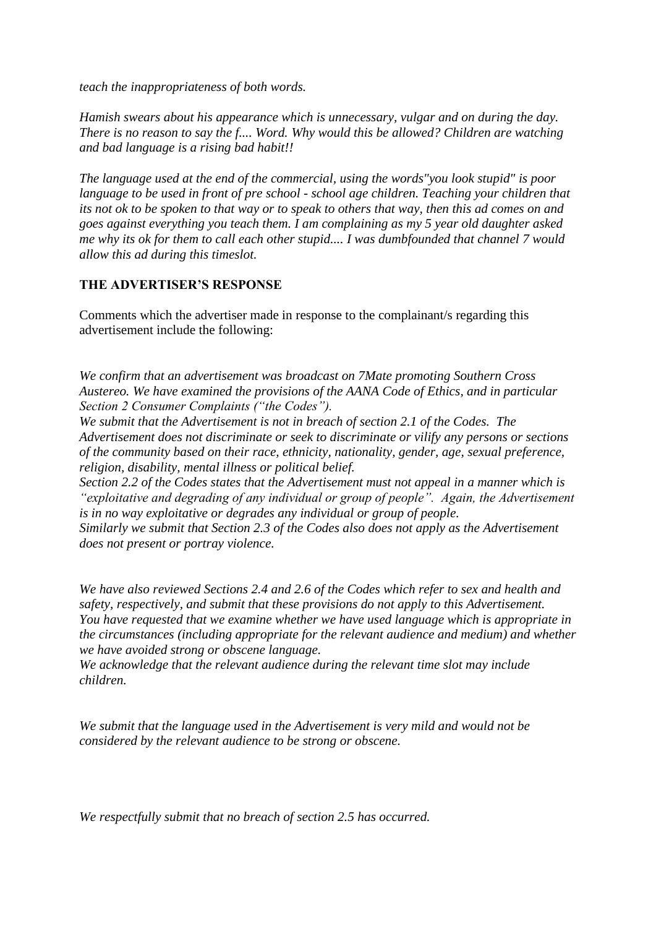*teach the inappropriateness of both words.*

*Hamish swears about his appearance which is unnecessary, vulgar and on during the day. There is no reason to say the f.... Word. Why would this be allowed? Children are watching and bad language is a rising bad habit!!*

*The language used at the end of the commercial, using the words"you look stupid" is poor language to be used in front of pre school - school age children. Teaching your children that its not ok to be spoken to that way or to speak to others that way, then this ad comes on and goes against everything you teach them. I am complaining as my 5 year old daughter asked me why its ok for them to call each other stupid.... I was dumbfounded that channel 7 would allow this ad during this timeslot.*

#### **THE ADVERTISER'S RESPONSE**

Comments which the advertiser made in response to the complainant/s regarding this advertisement include the following:

*We confirm that an advertisement was broadcast on 7Mate promoting Southern Cross Austereo. We have examined the provisions of the AANA Code of Ethics, and in particular Section 2 Consumer Complaints ("the Codes").*

*We submit that the Advertisement is not in breach of section 2.1 of the Codes. The Advertisement does not discriminate or seek to discriminate or vilify any persons or sections of the community based on their race, ethnicity, nationality, gender, age, sexual preference, religion, disability, mental illness or political belief.*

*Section 2.2 of the Codes states that the Advertisement must not appeal in a manner which is "exploitative and degrading of any individual or group of people". Again, the Advertisement is in no way exploitative or degrades any individual or group of people.* 

*Similarly we submit that Section 2.3 of the Codes also does not apply as the Advertisement does not present or portray violence.*

*We have also reviewed Sections 2.4 and 2.6 of the Codes which refer to sex and health and safety, respectively, and submit that these provisions do not apply to this Advertisement. You have requested that we examine whether we have used language which is appropriate in the circumstances (including appropriate for the relevant audience and medium) and whether we have avoided strong or obscene language.*

*We acknowledge that the relevant audience during the relevant time slot may include children.*

*We submit that the language used in the Advertisement is very mild and would not be considered by the relevant audience to be strong or obscene.*

*We respectfully submit that no breach of section 2.5 has occurred.*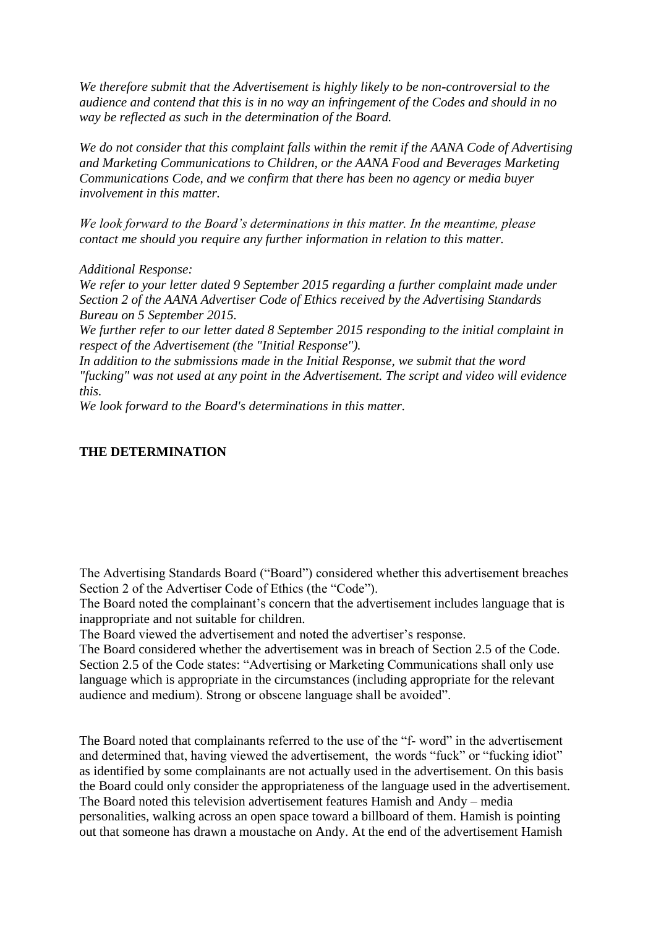*We therefore submit that the Advertisement is highly likely to be non-controversial to the audience and contend that this is in no way an infringement of the Codes and should in no way be reflected as such in the determination of the Board.* 

*We do not consider that this complaint falls within the remit if the AANA Code of Advertising and Marketing Communications to Children, or the AANA Food and Beverages Marketing Communications Code, and we confirm that there has been no agency or media buyer involvement in this matter.*

*We look forward to the Board's determinations in this matter. In the meantime, please contact me should you require any further information in relation to this matter.*

*Additional Response:*

*We refer to your letter dated 9 September 2015 regarding a further complaint made under Section 2 of the AANA Advertiser Code of Ethics received by the Advertising Standards Bureau on 5 September 2015.*

*We further refer to our letter dated 8 September 2015 responding to the initial complaint in respect of the Advertisement (the "Initial Response").*

*In addition to the submissions made in the Initial Response, we submit that the word "fucking" was not used at any point in the Advertisement. The script and video will evidence this.*

*We look forward to the Board's determinations in this matter.* 

### **THE DETERMINATION**

The Advertising Standards Board ("Board") considered whether this advertisement breaches Section 2 of the Advertiser Code of Ethics (the "Code").

The Board noted the complainant's concern that the advertisement includes language that is inappropriate and not suitable for children.

The Board viewed the advertisement and noted the advertiser's response.

The Board considered whether the advertisement was in breach of Section 2.5 of the Code. Section 2.5 of the Code states: "Advertising or Marketing Communications shall only use language which is appropriate in the circumstances (including appropriate for the relevant audience and medium). Strong or obscene language shall be avoided".

The Board noted that complainants referred to the use of the "f- word" in the advertisement and determined that, having viewed the advertisement, the words "fuck" or "fucking idiot" as identified by some complainants are not actually used in the advertisement. On this basis the Board could only consider the appropriateness of the language used in the advertisement. The Board noted this television advertisement features Hamish and Andy – media personalities, walking across an open space toward a billboard of them. Hamish is pointing out that someone has drawn a moustache on Andy. At the end of the advertisement Hamish